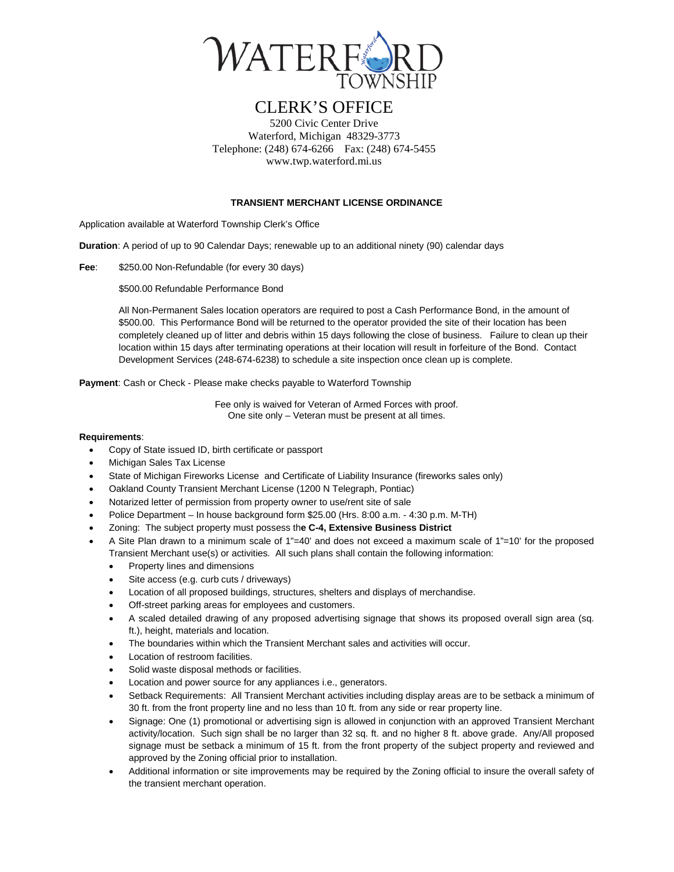

# CLERK'S OFFICE

5200 Civic Center Drive Waterford, Michigan 48329-3773 Telephone: (248) 674-6266 Fax: (248) 674-5455 www.twp.waterford.mi.us

#### **TRANSIENT MERCHANT LICENSE ORDINANCE**

Application available at Waterford Township Clerk's Office

**Duration**: A period of up to 90 Calendar Days; renewable up to an additional ninety (90) calendar days

**Fee**: \$250.00 Non-Refundable (for every 30 days)

\$500.00 Refundable Performance Bond

All Non-Permanent Sales location operators are required to post a Cash Performance Bond, in the amount of \$500.00. This Performance Bond will be returned to the operator provided the site of their location has been completely cleaned up of litter and debris within 15 days following the close of business. Failure to clean up their location within 15 days after terminating operations at their location will result in forfeiture of the Bond. Contact Development Services (248-674-6238) to schedule a site inspection once clean up is complete.

**Payment**: Cash or Check - Please make checks payable to Waterford Township

Fee only is waived for Veteran of Armed Forces with proof. One site only – Veteran must be present at all times.

#### **Requirements**:

- Copy of State issued ID, birth certificate or passport
- Michigan Sales Tax License
- State of Michigan Fireworks License and Certificate of Liability Insurance (fireworks sales only)
- Oakland County Transient Merchant License (1200 N Telegraph, Pontiac)
- Notarized letter of permission from property owner to use/rent site of sale
- Police Department In house background form \$25.00 (Hrs. 8:00 a.m. 4:30 p.m. M-TH)
- Zoning: The subject property must possess th**e C-4, Extensive Business District**
- A Site Plan drawn to a minimum scale of 1"=40' and does not exceed a maximum scale of 1"=10' for the proposed Transient Merchant use(s) or activities. All such plans shall contain the following information:
	- Property lines and dimensions
	- Site access (e.g. curb cuts / driveways)
	- Location of all proposed buildings, structures, shelters and displays of merchandise.
	- Off-street parking areas for employees and customers.
	- A scaled detailed drawing of any proposed advertising signage that shows its proposed overall sign area (sq. ft.), height, materials and location.
	- The boundaries within which the Transient Merchant sales and activities will occur.
	- Location of restroom facilities.
	- Solid waste disposal methods or facilities.
	- Location and power source for any appliances i.e., generators.
	- Setback Requirements: All Transient Merchant activities including display areas are to be setback a minimum of 30 ft. from the front property line and no less than 10 ft. from any side or rear property line.
	- Signage: One (1) promotional or advertising sign is allowed in conjunction with an approved Transient Merchant activity/location. Such sign shall be no larger than 32 sq. ft. and no higher 8 ft. above grade. Any/All proposed signage must be setback a minimum of 15 ft. from the front property of the subject property and reviewed and approved by the Zoning official prior to installation.
	- Additional information or site improvements may be required by the Zoning official to insure the overall safety of the transient merchant operation.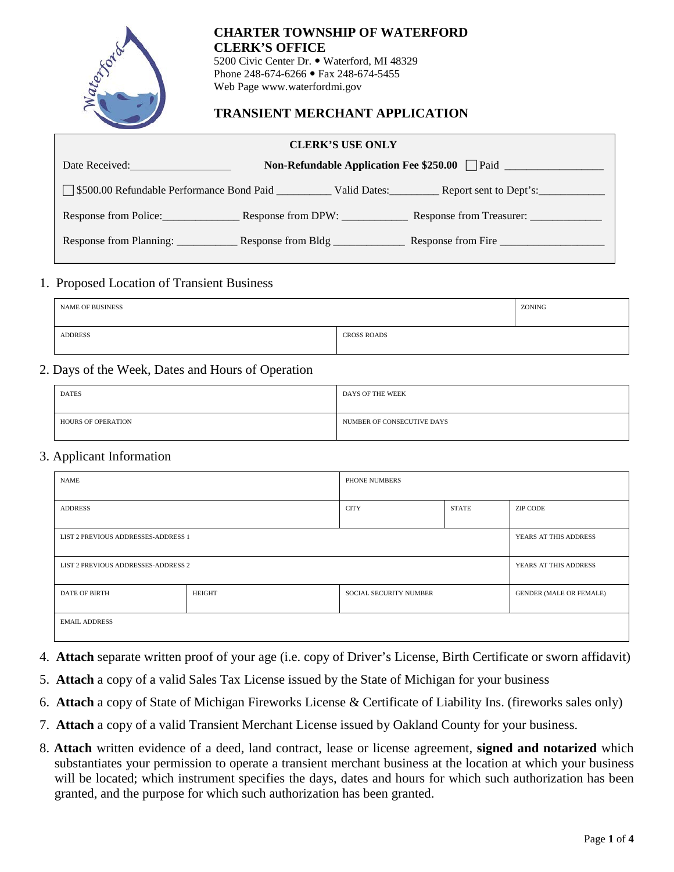

## **CHARTER TOWNSHIP OF WATERFORD CLERK'S OFFICE**

5200 Civic Center Dr. . Waterford, MI 48329 Phone 248-674-6266 • Fax 248-674-5455 Web Page www.waterfordmi.gov

## **TRANSIENT MERCHANT APPLICATION**

| <b>CLERK'S USE ONLY</b>             |                    |                                                                   |  |  |
|-------------------------------------|--------------------|-------------------------------------------------------------------|--|--|
| Date Received: <b>Example 2019</b>  |                    |                                                                   |  |  |
|                                     |                    |                                                                   |  |  |
|                                     |                    | Response from Police: Response from DPW: Response from Treasurer: |  |  |
| Response from Planning: ___________ | Response from Bldg | Response from Fire                                                |  |  |

### 1. Proposed Location of Transient Business

| <b>NAME OF BUSINESS</b> |                    | ZONING |
|-------------------------|--------------------|--------|
| <b>ADDRESS</b>          | <b>CROSS ROADS</b> |        |

### 2. Days of the Week, Dates and Hours of Operation

| <b>DATES</b>              | DAYS OF THE WEEK           |
|---------------------------|----------------------------|
| <b>HOURS OF OPERATION</b> | NUMBER OF CONSECUTIVE DAYS |

### 3. Applicant Information

| <b>NAME</b>                                              |  | PHONE NUMBERS                  |                       |                       |
|----------------------------------------------------------|--|--------------------------------|-----------------------|-----------------------|
| <b>ADDRESS</b>                                           |  | <b>CITY</b>                    | <b>STATE</b>          | ZIP CODE              |
| LIST 2 PREVIOUS ADDRESSES-ADDRESS 1                      |  |                                | YEARS AT THIS ADDRESS |                       |
| LIST 2 PREVIOUS ADDRESSES-ADDRESS 2                      |  |                                |                       | YEARS AT THIS ADDRESS |
| HEIGHT<br><b>DATE OF BIRTH</b><br>SOCIAL SECURITY NUMBER |  | <b>GENDER (MALE OR FEMALE)</b> |                       |                       |
| <b>EMAIL ADDRESS</b>                                     |  |                                |                       |                       |

- 4. **Attach** separate written proof of your age (i.e. copy of Driver's License, Birth Certificate or sworn affidavit)
- 5. **Attach** a copy of a valid Sales Tax License issued by the State of Michigan for your business
- 6. **Attach** a copy of State of Michigan Fireworks License & Certificate of Liability Ins. (fireworks sales only)
- 7. **Attach** a copy of a valid Transient Merchant License issued by Oakland County for your business.
- 8. **Attach** written evidence of a deed, land contract, lease or license agreement, **signed and notarized** which substantiates your permission to operate a transient merchant business at the location at which your business will be located; which instrument specifies the days, dates and hours for which such authorization has been granted, and the purpose for which such authorization has been granted.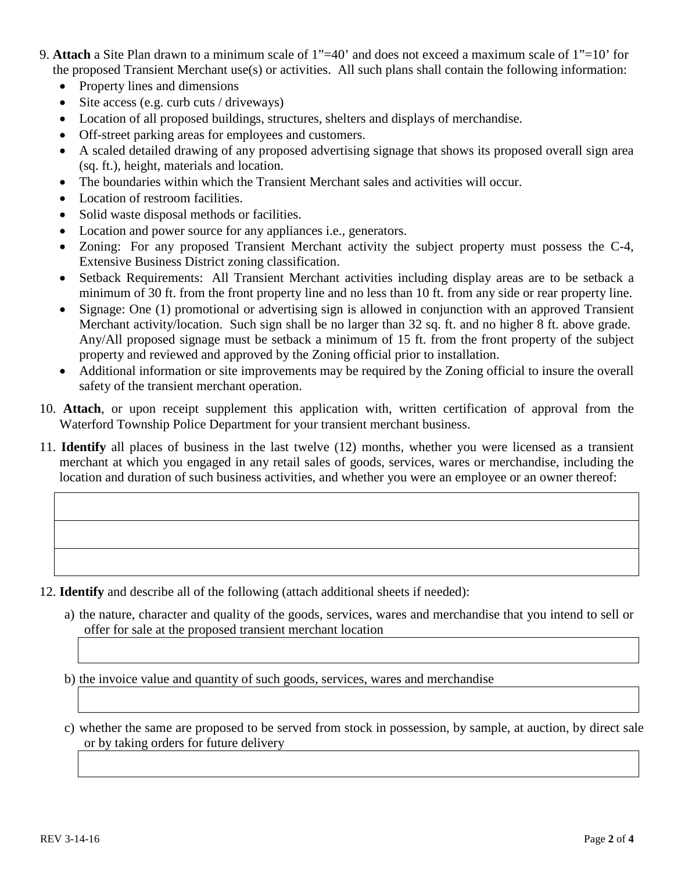- 9. **Attach** a Site Plan drawn to a minimum scale of 1"=40' and does not exceed a maximum scale of 1"=10' for the proposed Transient Merchant use(s) or activities. All such plans shall contain the following information:
	- Property lines and dimensions
	- Site access (e.g. curb cuts / driveways)
	- Location of all proposed buildings, structures, shelters and displays of merchandise.
	- Off-street parking areas for employees and customers.
	- A scaled detailed drawing of any proposed advertising signage that shows its proposed overall sign area (sq. ft.), height, materials and location.
	- The boundaries within which the Transient Merchant sales and activities will occur.
	- Location of restroom facilities.
	- Solid waste disposal methods or facilities.
	- Location and power source for any appliances i.e., generators.
	- Zoning: For any proposed Transient Merchant activity the subject property must possess the C-4, Extensive Business District zoning classification.
	- Setback Requirements: All Transient Merchant activities including display areas are to be setback a minimum of 30 ft. from the front property line and no less than 10 ft. from any side or rear property line.
	- Signage: One (1) promotional or advertising sign is allowed in conjunction with an approved Transient Merchant activity/location. Such sign shall be no larger than 32 sq. ft. and no higher 8 ft. above grade. Any/All proposed signage must be setback a minimum of 15 ft. from the front property of the subject property and reviewed and approved by the Zoning official prior to installation.
	- Additional information or site improvements may be required by the Zoning official to insure the overall safety of the transient merchant operation.
- 10. **Attach**, or upon receipt supplement this application with, written certification of approval from the Waterford Township Police Department for your transient merchant business.
- 11. **Identify** all places of business in the last twelve (12) months, whether you were licensed as a transient merchant at which you engaged in any retail sales of goods, services, wares or merchandise, including the location and duration of such business activities, and whether you were an employee or an owner thereof:

12. **Identify** and describe all of the following (attach additional sheets if needed):

a) the nature, character and quality of the goods, services, wares and merchandise that you intend to sell or offer for sale at the proposed transient merchant location

b) the invoice value and quantity of such goods, services, wares and merchandise

c) whether the same are proposed to be served from stock in possession, by sample, at auction, by direct sale or by taking orders for future delivery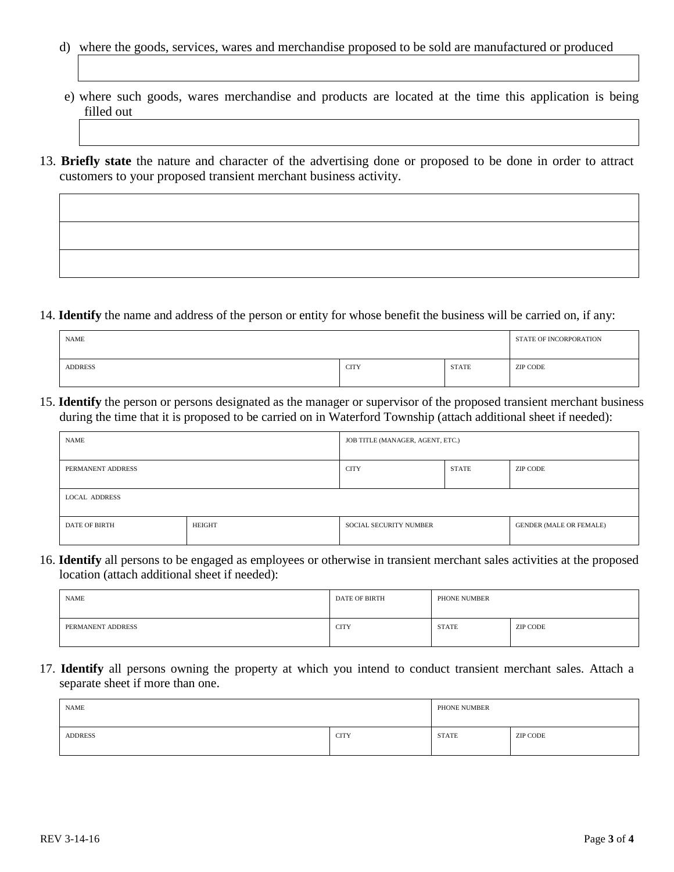- d) where the goods, services, wares and merchandise proposed to be sold are manufactured or produced
- e) where such goods, wares merchandise and products are located at the time this application is being filled out
- 13. **Briefly state** the nature and character of the advertising done or proposed to be done in order to attract customers to your proposed transient merchant business activity.

14. **Identify** the name and address of the person or entity for whose benefit the business will be carried on, if any:

| <b>NAME</b> |             |              | STATE OF INCORPORATION |
|-------------|-------------|--------------|------------------------|
| ADDRESS     | <b>CITY</b> | <b>STATE</b> | ZIP CODE               |

15. **Identify** the person or persons designated as the manager or supervisor of the proposed transient merchant business during the time that it is proposed to be carried on in Waterford Township (attach additional sheet if needed):

| <b>NAME</b>          |               | JOB TITLE (MANAGER, AGENT, ETC.) |       |                                |
|----------------------|---------------|----------------------------------|-------|--------------------------------|
| PERMANENT ADDRESS    |               | <b>CITY</b>                      | STATE | ZIP CODE                       |
| <b>LOCAL ADDRESS</b> |               |                                  |       |                                |
| DATE OF BIRTH        | <b>HEIGHT</b> | <b>SOCIAL SECURITY NUMBER</b>    |       | <b>GENDER (MALE OR FEMALE)</b> |

16. **Identify** all persons to be engaged as employees or otherwise in transient merchant sales activities at the proposed location (attach additional sheet if needed):

| <b>NAME</b>       | DATE OF BIRTH | PHONE NUMBER |          |
|-------------------|---------------|--------------|----------|
| PERMANENT ADDRESS | <b>CITY</b>   | <b>STATE</b> | ZIP CODE |

17. **Identify** all persons owning the property at which you intend to conduct transient merchant sales. Attach a separate sheet if more than one.

| NAME           |             | PHONE NUMBER |          |
|----------------|-------------|--------------|----------|
| <b>ADDRESS</b> | <b>CITY</b> | <b>STATE</b> | ZIP CODE |